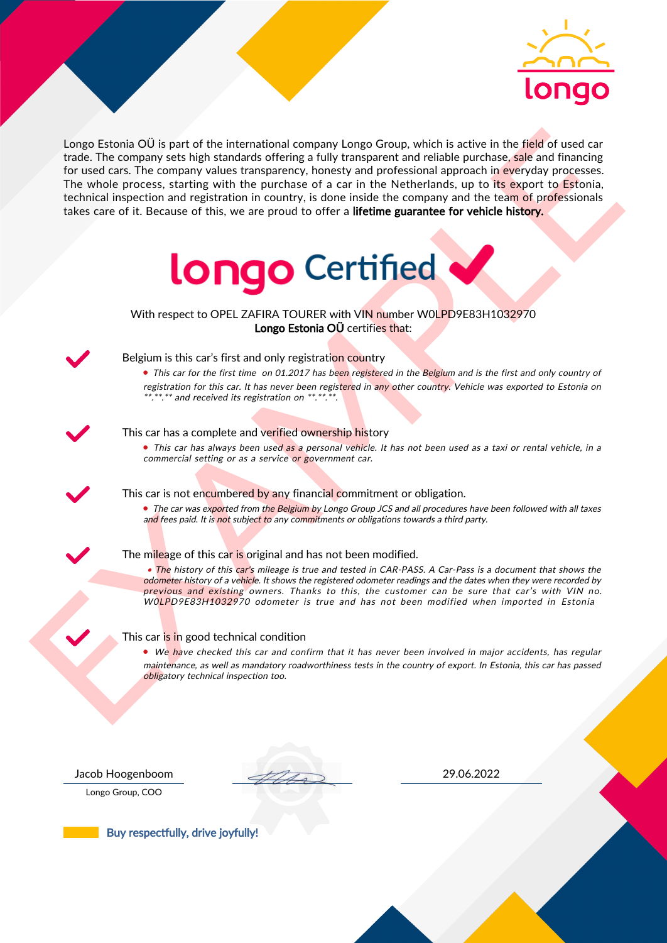

Lenge Estadua Olis part of the international company Lenge Gramp, which is active in the field of used car<br>
for more denote the company state in the spectrum of the state of the state of the state of the company internati Longo Estonia OÜ is part of the international company Longo Group, which is active in the field of used car trade. The company sets high standards offering a fully transparent and reliable purchase, sale and financing for used cars. The company values transparency, honesty and professional approach in everyday processes. The whole process, starting with the purchase of a car in the Netherlands, up to its export to Estonia, technical inspection and registration in country, is done inside the company and the team of professionals takes care of it. Because of this, we are proud to offer a lifetime guarantee for vehicle history.



With respect to OPEL ZAFIRA TOURER with VIN number W0LPD9E83H1032970 Longo Estonia OÜ certifies that:



## Belgium is this car's first and only registration country

• This car for the first time on 01.2017 has been registered in the Belgium and is the first and only country of registration for this car. It has never been registered in any other country. Vehicle was exported to Estonia on  $**.*.*.*$  and received its registration on  $**.*.*.*$ .

## This car has a complete and verified ownership history

• This car has always been used as a personal vehicle. It has not been used as a taxi or rental vehicle, in a commercial setting or as a service or government car.

This car is not encumbered by any financial commitment or obligation.

• The car was exported from the Belgium by Longo Group JCS and all procedures have been followed with all taxes and fees paid. It is not subject to any commitments or obligations towards a third party.

### The mileage of this car is original and has not been modified.

• The history of this car's mileage is true and tested in CAR-PASS. A Car-Pass is a document that shows the odometer history of a vehicle. It shows the registered odometer readings and the dates when they were recorded by previous and existing owners. Thanks to this, the customer can be sure that car's with VIN no. W0LPD9E83H1032970 odometer is true and has not been modified when imported in Estonia

#### This car is in good technical condition

• We have checked this car and confirm that it has never been involved in major accidents, has regular maintenance, as well as mandatory roadworthiness tests in the country of export. In Estonia, this car has passed obligatory technical inspection too.

Longo Group, COO

Jacob Hoogenboom 29.06.2022

Buy respectfully, drive joyfully!